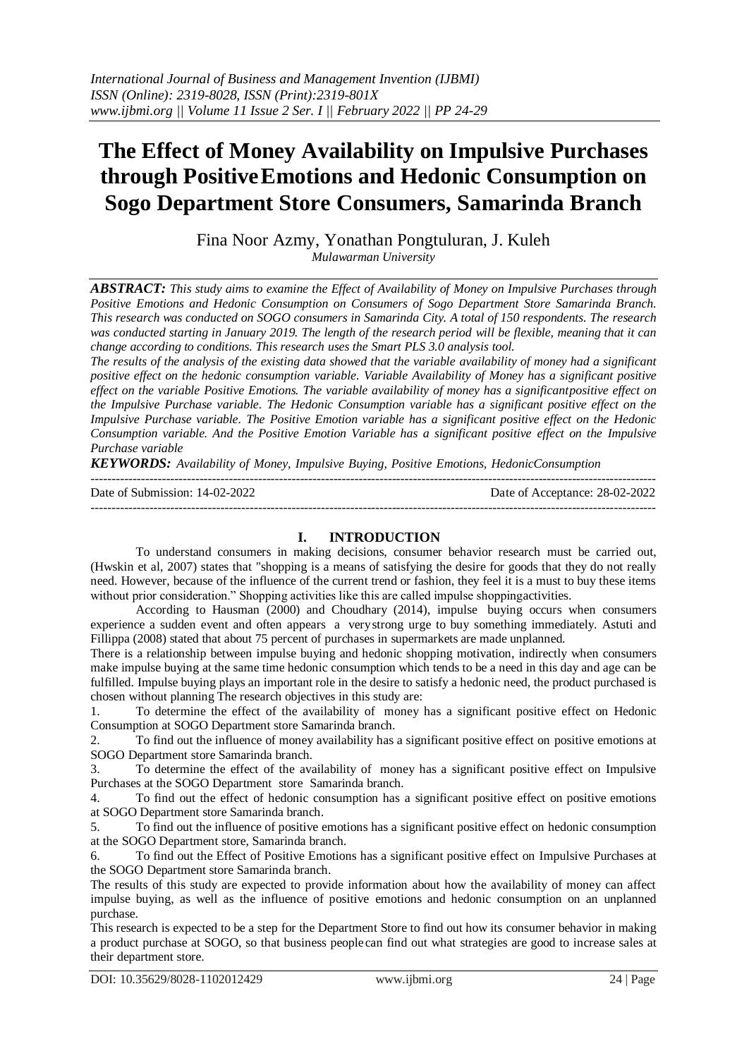# **The Effect of Money Availability on Impulsive Purchases through PositiveEmotions and Hedonic Consumption on Sogo Department Store Consumers, Samarinda Branch**

Fina Noor Azmy, Yonathan Pongtuluran, J. Kuleh *Mulawarman University*

*ABSTRACT: This study aims to examine the Effect of Availability of Money on Impulsive Purchases through Positive Emotions and Hedonic Consumption on Consumers of Sogo Department Store Samarinda Branch. This research was conducted on SOGO consumers in Samarinda City. A total of 150 respondents. The research was conducted starting in January 2019. The length of the research period will be flexible, meaning that it can change according to conditions. This research uses the Smart PLS 3.0 analysis tool.*

*The results of the analysis of the existing data showed that the variable availability of money had a significant positive effect on the hedonic consumption variable. Variable Availability of Money has a significant positive effect on the variable Positive Emotions. The variable availability of money has a significantpositive effect on the Impulsive Purchase variable. The Hedonic Consumption variable has a significant positive effect on the Impulsive Purchase variable. The Positive Emotion variable has a significant positive effect on the Hedonic Consumption variable. And the Positive Emotion Variable has a significant positive effect on the Impulsive Purchase variable*

*KEYWORDS: Availability of Money, Impulsive Buying, Positive Emotions, HedonicConsumption*

| Date of Submission: 14-02-2022 | Date of Acceptance: 28-02-2022 |
|--------------------------------|--------------------------------|
|                                |                                |

## **I. INTRODUCTION**

To understand consumers in making decisions, consumer behavior research must be carried out, (Hwskin et al, 2007) states that "shopping is a means of satisfying the desire for goods that they do not really need. However, because of the influence of the current trend or fashion, they feel it is a must to buy these items without prior consideration." Shopping activities like this are called impulse shoppingactivities.

According to Hausman (2000) and Choudhary (2014), impulse buying occurs when consumers experience a sudden event and often appears a verystrong urge to buy something immediately. Astuti and Fillippa (2008) stated that about 75 percent of purchases in supermarkets are made unplanned.

There is a relationship between impulse buying and hedonic shopping motivation, indirectly when consumers make impulse buying at the same time hedonic consumption which tends to be a need in this day and age can be fulfilled. Impulse buying plays an important role in the desire to satisfy a hedonic need, the product purchased is chosen without planning The research objectives in this study are:

1. To determine the effect of the availability of money has a significant positive effect on Hedonic Consumption at SOGO Department store Samarinda branch.

2. To find out the influence of money availability has a significant positive effect on positive emotions at SOGO Department store Samarinda branch.

3. To determine the effect of the availability of money has a significant positive effect on Impulsive Purchases at the SOGO Department store Samarinda branch.

4. To find out the effect of hedonic consumption has a significant positive effect on positive emotions at SOGO Department store Samarinda branch.

5. To find out the influence of positive emotions has a significant positive effect on hedonic consumption at the SOGO Department store, Samarinda branch.

6. To find out the Effect of Positive Emotions has a significant positive effect on Impulsive Purchases at the SOGO Department store Samarinda branch.

The results of this study are expected to provide information about how the availability of money can affect impulse buying, as well as the influence of positive emotions and hedonic consumption on an unplanned purchase.

This research is expected to be a step for the Department Store to find out how its consumer behavior in making a product purchase at SOGO, so that business peoplecan find out what strategies are good to increase sales at their department store.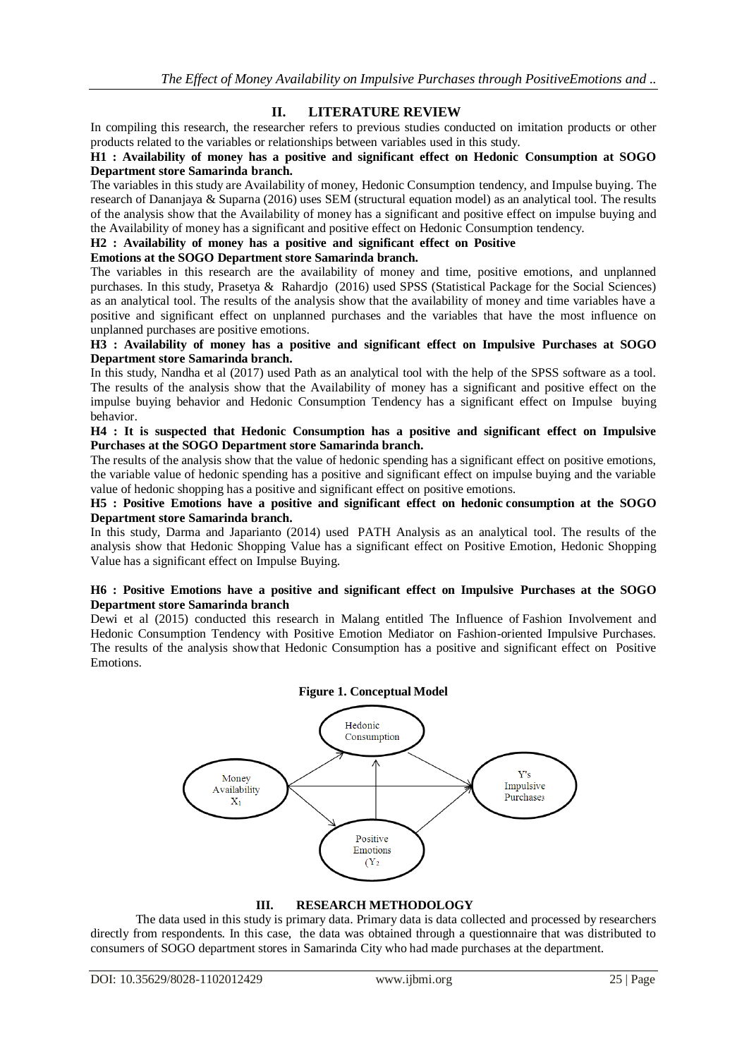## **II. LITERATURE REVIEW**

In compiling this research, the researcher refers to previous studies conducted on imitation products or other products related to the variables or relationships between variables used in this study.

#### **H1 : Availability of money has a positive and significant effect on Hedonic Consumption at SOGO Department store Samarinda branch.**

The variables in this study are Availability of money, Hedonic Consumption tendency, and Impulse buying. The research of Dananjaya & Suparna (2016) uses SEM (structural equation model) as an analytical tool. The results of the analysis show that the Availability of money has a significant and positive effect on impulse buying and the Availability of money has a significant and positive effect on Hedonic Consumption tendency.

#### **H2 : Availability of money has a positive and significant effect on Positive**

#### **Emotions at the SOGO Department store Samarinda branch.**

The variables in this research are the availability of money and time, positive emotions, and unplanned purchases. In this study, Prasetya & Rahardjo (2016) used SPSS (Statistical Package for the Social Sciences) as an analytical tool. The results of the analysis show that the availability of money and time variables have a positive and significant effect on unplanned purchases and the variables that have the most influence on unplanned purchases are positive emotions.

#### **H3 : Availability of money has a positive and significant effect on Impulsive Purchases at SOGO Department store Samarinda branch.**

In this study, Nandha et al (2017) used Path as an analytical tool with the help of the SPSS software as a tool. The results of the analysis show that the Availability of money has a significant and positive effect on the impulse buying behavior and Hedonic Consumption Tendency has a significant effect on Impulse buying behavior.

#### **H4 : It is suspected that Hedonic Consumption has a positive and significant effect on Impulsive Purchases at the SOGO Department store Samarinda branch.**

The results of the analysis show that the value of hedonic spending has a significant effect on positive emotions, the variable value of hedonic spending has a positive and significant effect on impulse buying and the variable value of hedonic shopping has a positive and significant effect on positive emotions.

#### **H5 : Positive Emotions have a positive and significant effect on hedonic consumption at the SOGO Department store Samarinda branch.**

In this study, Darma and Japarianto (2014) used PATH Analysis as an analytical tool. The results of the analysis show that Hedonic Shopping Value has a significant effect on Positive Emotion, Hedonic Shopping Value has a significant effect on Impulse Buying.

#### **H6 : Positive Emotions have a positive and significant effect on Impulsive Purchases at the SOGO Department store Samarinda branch**

Dewi et al (2015) conducted this research in Malang entitled The Influence of Fashion Involvement and Hedonic Consumption Tendency with Positive Emotion Mediator on Fashion-oriented Impulsive Purchases. The results of the analysis showthat Hedonic Consumption has a positive and significant effect on Positive Emotions.

## **Figure 1. Conceptual Model**



**III. RESEARCH METHODOLOGY**

The data used in this study is primary data. Primary data is data collected and processed by researchers directly from respondents. In this case, the data was obtained through a questionnaire that was distributed to consumers of SOGO department stores in Samarinda City who had made purchases at the department.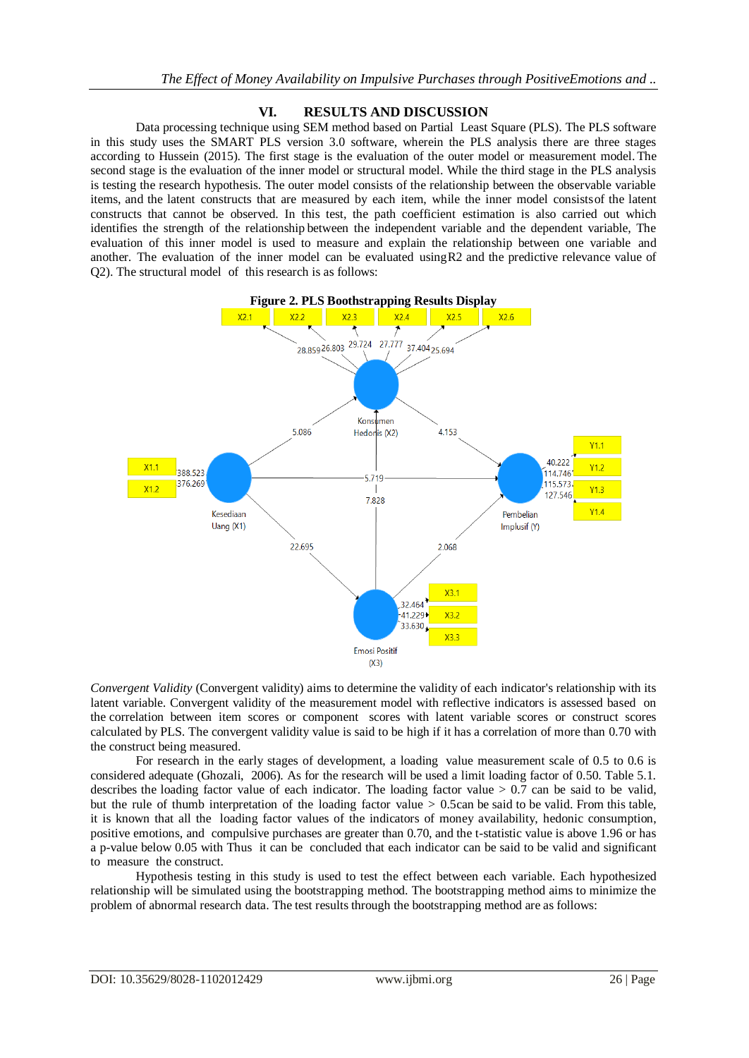## **VI. RESULTS AND DISCUSSION**

Data processing technique using SEM method based on Partial Least Square (PLS). The PLS software in this study uses the SMART PLS version 3.0 software, wherein the PLS analysis there are three stages according to Hussein (2015). The first stage is the evaluation of the outer model or measurement model. The second stage is the evaluation of the inner model or structural model. While the third stage in the PLS analysis is testing the research hypothesis. The outer model consists of the relationship between the observable variable items, and the latent constructs that are measured by each item, while the inner model consistsof the latent constructs that cannot be observed. In this test, the path coefficient estimation is also carried out which identifies the strength of the relationship between the independent variable and the dependent variable, The evaluation of this inner model is used to measure and explain the relationship between one variable and another. The evaluation of the inner model can be evaluated usingR2 and the predictive relevance value of Q2). The structural model of this research is as follows:



*Convergent Validity* (Convergent validity) aims to determine the validity of each indicator's relationship with its latent variable. Convergent validity of the measurement model with reflective indicators is assessed based on the correlation between item scores or component scores with latent variable scores or construct scores calculated by PLS. The convergent validity value is said to be high if it has a correlation of more than 0.70 with the construct being measured.

For research in the early stages of development, a loading value measurement scale of 0.5 to 0.6 is considered adequate (Ghozali, 2006). As for the research will be used a limit loading factor of 0.50. Table 5.1. describes the loading factor value of each indicator. The loading factor value  $> 0.7$  can be said to be valid, but the rule of thumb interpretation of the loading factor value > 0.5can be said to be valid. From this table, it is known that all the loading factor values of the indicators of money availability, hedonic consumption, positive emotions, and compulsive purchases are greater than 0.70, and the t-statistic value is above 1.96 or has a p-value below 0.05 with Thus it can be concluded that each indicator can be said to be valid and significant to measure the construct.

Hypothesis testing in this study is used to test the effect between each variable. Each hypothesized relationship will be simulated using the bootstrapping method. The bootstrapping method aims to minimize the problem of abnormal research data. The test results through the bootstrapping method are as follows: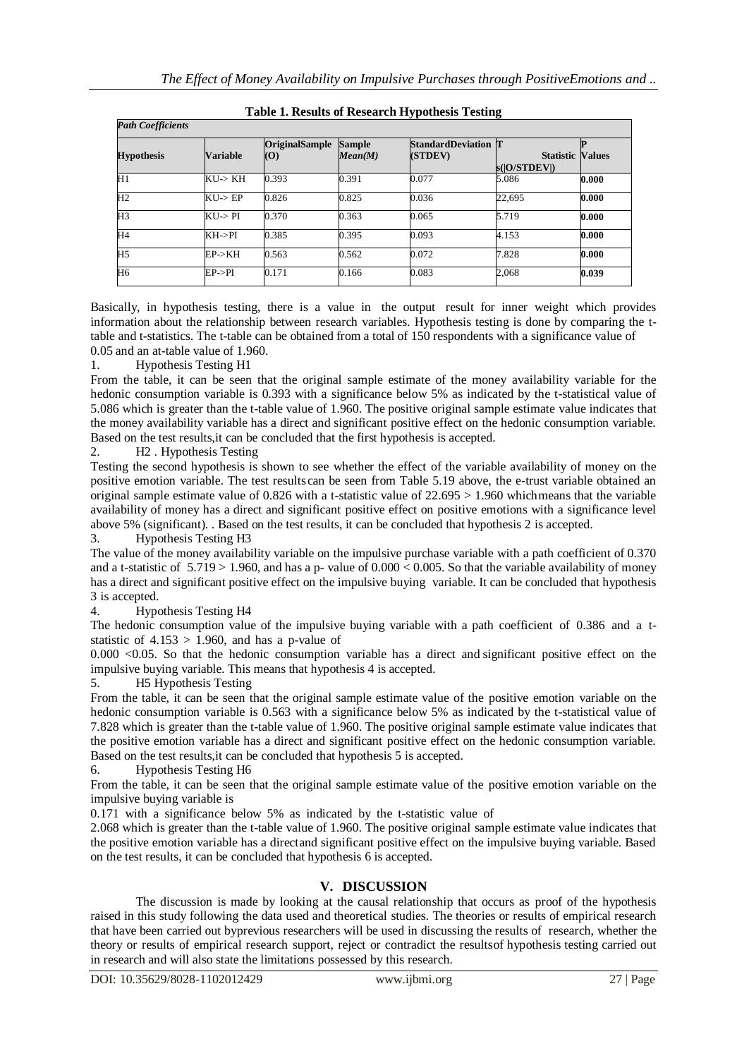| <b>Path Coefficients</b> |                    |                                     |                          |                                       |                                         |       |  |
|--------------------------|--------------------|-------------------------------------|--------------------------|---------------------------------------|-----------------------------------------|-------|--|
| <b>Hypothesis</b>        | <b>Variable</b>    | <b>OriginalSample</b><br>$\left($ O | <b>Sample</b><br>Mean(M) | <b>StandardDeviation T</b><br>(STDEV) | <b>Statistic Values</b><br>s( O/STDEV ) |       |  |
| $\overline{H1}$          | $KU\rightarrow KH$ | 0.393                               | 0.391                    | 0.077                                 | 5.086                                   | 0.000 |  |
| H2                       | KU > EP            | 0.826                               | 0.825                    | 0.036                                 | 22,695                                  | 0.000 |  |
| H <sub>3</sub>           | KU > PI            | 0.370                               | 0.363                    | 0.065                                 | 5.719                                   | 0.000 |  |
| H <sub>4</sub>           | KH->PI             | 0.385                               | 0.395                    | 0.093                                 | 4.153                                   | 0.000 |  |
| H <sub>5</sub>           | EP > KH            | 0.563                               | 0.562                    | 0.072                                 | 7.828                                   | 0.000 |  |
| H <sub>6</sub>           | EP > PI            | 0.171                               | 0.166                    | 0.083                                 | 2,068                                   | 0.039 |  |

## **Table 1. Results of Research Hypothesis Testing**

Basically, in hypothesis testing, there is a value in the output result for inner weight which provides information about the relationship between research variables. Hypothesis testing is done by comparing the ttable and t-statistics. The t-table can be obtained from a total of 150 respondents with a significance value of 0.05 and an at-table value of 1.960.

1. Hypothesis Testing H1

From the table, it can be seen that the original sample estimate of the money availability variable for the hedonic consumption variable is 0.393 with a significance below 5% as indicated by the t-statistical value of 5.086 which is greater than the t-table value of 1.960. The positive original sample estimate value indicates that the money availability variable has a direct and significant positive effect on the hedonic consumption variable. Based on the test results,it can be concluded that the first hypothesis is accepted.

2. H2 . Hypothesis Testing

Testing the second hypothesis is shown to see whether the effect of the variable availability of money on the positive emotion variable. The test results can be seen from Table 5.19 above, the e-trust variable obtained an original sample estimate value of  $0.826$  with a t-statistic value of  $22.695 > 1.960$  which means that the variable availability of money has a direct and significant positive effect on positive emotions with a significance level above 5% (significant). . Based on the test results, it can be concluded that hypothesis 2 is accepted.

3. Hypothesis Testing H3

The value of the money availability variable on the impulsive purchase variable with a path coefficient of 0.370 and a t-statistic of  $5.719 > 1.960$ , and has a p- value of  $0.000 < 0.005$ . So that the variable availability of money has a direct and significant positive effect on the impulsive buying variable. It can be concluded that hypothesis 3 is accepted.

4. Hypothesis Testing H4

The hedonic consumption value of the impulsive buying variable with a path coefficient of 0.386 and a tstatistic of  $4.153 > 1.960$ , and has a p-value of

 $0.000$  <0.05. So that the hedonic consumption variable has a direct and significant positive effect on the impulsive buying variable. This means that hypothesis 4 is accepted.

5. H5 Hypothesis Testing

From the table, it can be seen that the original sample estimate value of the positive emotion variable on the hedonic consumption variable is 0.563 with a significance below 5% as indicated by the t-statistical value of 7.828 which is greater than the t-table value of 1.960. The positive original sample estimate value indicates that the positive emotion variable has a direct and significant positive effect on the hedonic consumption variable. Based on the test results,it can be concluded that hypothesis 5 is accepted.

6. Hypothesis Testing H6

From the table, it can be seen that the original sample estimate value of the positive emotion variable on the impulsive buying variable is

0.171 with a significance below 5% as indicated by the t-statistic value of

2.068 which is greater than the t-table value of 1.960. The positive original sample estimate value indicates that the positive emotion variable has a directand significant positive effect on the impulsive buying variable. Based on the test results, it can be concluded that hypothesis 6 is accepted.

## **V. DISCUSSION**

The discussion is made by looking at the causal relationship that occurs as proof of the hypothesis raised in this study following the data used and theoretical studies. The theories or results of empirical research that have been carried out byprevious researchers will be used in discussing the results of research, whether the theory or results of empirical research support, reject or contradict the resultsof hypothesis testing carried out in research and will also state the limitations possessed by this research.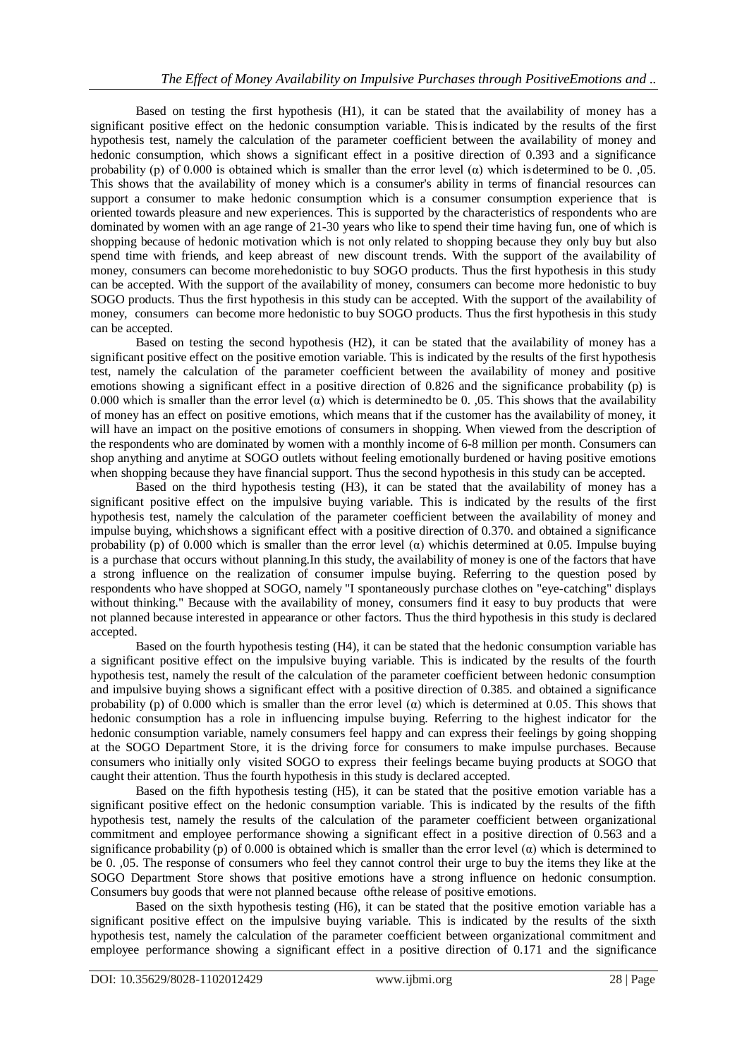Based on testing the first hypothesis (H1), it can be stated that the availability of money has a significant positive effect on the hedonic consumption variable. Thisis indicated by the results of the first hypothesis test, namely the calculation of the parameter coefficient between the availability of money and hedonic consumption, which shows a significant effect in a positive direction of 0.393 and a significance probability (p) of 0.000 is obtained which is smaller than the error level ( $\alpha$ ) which is determined to be 0. ,05. This shows that the availability of money which is a consumer's ability in terms of financial resources can support a consumer to make hedonic consumption which is a consumer consumption experience that is oriented towards pleasure and new experiences. This is supported by the characteristics of respondents who are dominated by women with an age range of 21-30 years who like to spend their time having fun, one of which is shopping because of hedonic motivation which is not only related to shopping because they only buy but also spend time with friends, and keep abreast of new discount trends. With the support of the availability of money, consumers can become morehedonistic to buy SOGO products. Thus the first hypothesis in this study can be accepted. With the support of the availability of money, consumers can become more hedonistic to buy SOGO products. Thus the first hypothesis in this study can be accepted. With the support of the availability of money, consumers can become more hedonistic to buy SOGO products. Thus the first hypothesis in this study can be accepted.

Based on testing the second hypothesis (H2), it can be stated that the availability of money has a significant positive effect on the positive emotion variable. This is indicated by the results of the first hypothesis test, namely the calculation of the parameter coefficient between the availability of money and positive emotions showing a significant effect in a positive direction of 0.826 and the significance probability (p) is 0.000 which is smaller than the error level  $(\alpha)$  which is determined to be 0. ,05. This shows that the availability of money has an effect on positive emotions, which means that if the customer has the availability of money, it will have an impact on the positive emotions of consumers in shopping. When viewed from the description of the respondents who are dominated by women with a monthly income of 6-8 million per month. Consumers can shop anything and anytime at SOGO outlets without feeling emotionally burdened or having positive emotions when shopping because they have financial support. Thus the second hypothesis in this study can be accepted.

Based on the third hypothesis testing (H3), it can be stated that the availability of money has a significant positive effect on the impulsive buying variable. This is indicated by the results of the first hypothesis test, namely the calculation of the parameter coefficient between the availability of money and impulse buying, whichshows a significant effect with a positive direction of 0.370. and obtained a significance probability (p) of 0.000 which is smaller than the error level  $\alpha$ ) whichis determined at 0.05. Impulse buying is a purchase that occurs without planning.In this study, the availability of money is one of the factors that have a strong influence on the realization of consumer impulse buying. Referring to the question posed by respondents who have shopped at SOGO, namely "I spontaneously purchase clothes on "eye-catching" displays without thinking." Because with the availability of money, consumers find it easy to buy products that were not planned because interested in appearance or other factors. Thus the third hypothesis in this study is declared accepted.

Based on the fourth hypothesis testing (H4), it can be stated that the hedonic consumption variable has a significant positive effect on the impulsive buying variable. This is indicated by the results of the fourth hypothesis test, namely the result of the calculation of the parameter coefficient between hedonic consumption and impulsive buying shows a significant effect with a positive direction of 0.385. and obtained a significance probability (p) of 0.000 which is smaller than the error level  $\alpha$ ) which is determined at 0.05. This shows that hedonic consumption has a role in influencing impulse buying. Referring to the highest indicator for the hedonic consumption variable, namely consumers feel happy and can express their feelings by going shopping at the SOGO Department Store, it is the driving force for consumers to make impulse purchases. Because consumers who initially only visited SOGO to express their feelings became buying products at SOGO that caught their attention. Thus the fourth hypothesis in this study is declared accepted.

Based on the fifth hypothesis testing (H5), it can be stated that the positive emotion variable has a significant positive effect on the hedonic consumption variable. This is indicated by the results of the fifth hypothesis test, namely the results of the calculation of the parameter coefficient between organizational commitment and employee performance showing a significant effect in a positive direction of 0.563 and a significance probability (p) of 0.000 is obtained which is smaller than the error level  $(\alpha)$  which is determined to be 0. ,05. The response of consumers who feel they cannot control their urge to buy the items they like at the SOGO Department Store shows that positive emotions have a strong influence on hedonic consumption. Consumers buy goods that were not planned because ofthe release of positive emotions.

Based on the sixth hypothesis testing (H6), it can be stated that the positive emotion variable has a significant positive effect on the impulsive buying variable. This is indicated by the results of the sixth hypothesis test, namely the calculation of the parameter coefficient between organizational commitment and employee performance showing a significant effect in a positive direction of 0.171 and the significance